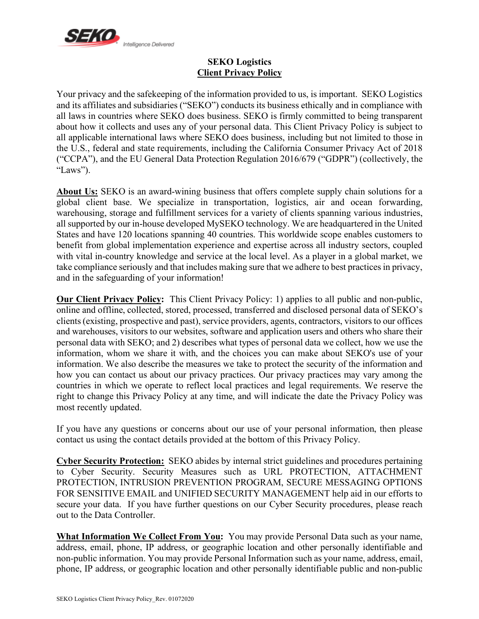

# **SEKO Logistics Client Privacy Policy**

Your privacy and the safekeeping of the information provided to us, is important. SEKO Logistics and its affiliates and subsidiaries ("SEKO") conducts its business ethically and in compliance with all laws in countries where SEKO does business. SEKO is firmly committed to being transparent about how it collects and uses any of your personal data. This Client Privacy Policy is subject to all applicable international laws where SEKO does business, including but not limited to those in the U.S., federal and state requirements, including the California Consumer Privacy Act of 2018 ("CCPA"), and the EU General Data Protection Regulation 2016/679 ("GDPR") (collectively, the "Laws").

**About Us:** SEKO is an award-wining business that offers complete supply chain solutions for a global client base. We specialize in transportation, logistics, air and ocean forwarding, warehousing, storage and fulfillment services for a variety of clients spanning various industries, all supported by our in-house developed MySEKO technology. We are headquartered in the United States and have 120 locations spanning 40 countries. This worldwide scope enables customers to benefit from global implementation experience and expertise across all industry sectors, coupled with vital in-country knowledge and service at the local level. As a player in a global market, we take compliance seriously and that includes making sure that we adhere to best practices in privacy, and in the safeguarding of your information!

**Our Client Privacy Policy:** This Client Privacy Policy: 1) applies to all public and non-public, online and offline, collected, stored, processed, transferred and disclosed personal data of SEKO's clients(existing, prospective and past), service providers, agents, contractors, visitors to our offices and warehouses, visitors to our websites, software and application users and others who share their personal data with SEKO; and 2) describes what types of personal data we collect, how we use the information, whom we share it with, and the choices you can make about SEKO's use of your information. We also describe the measures we take to protect the security of the information and how you can contact us about our privacy practices. Our privacy practices may vary among the countries in which we operate to reflect local practices and legal requirements. We reserve the right to change this Privacy Policy at any time, and will indicate the date the Privacy Policy was most recently updated.

If you have any questions or concerns about our use of your personal information, then please contact us using the contact details provided at the bottom of this Privacy Policy.

**Cyber Security Protection:** SEKO abides by internal strict guidelines and procedures pertaining to Cyber Security. Security Measures such as URL PROTECTION, ATTACHMENT PROTECTION, INTRUSION PREVENTION PROGRAM, SECURE MESSAGING OPTIONS FOR SENSITIVE EMAIL and UNIFIED SECURITY MANAGEMENT help aid in our efforts to secure your data. If you have further questions on our Cyber Security procedures, please reach out to the Data Controller.

**What Information We Collect From You:** You may provide Personal Data such as your name, address, email, phone, IP address, or geographic location and other personally identifiable and non-public information. You may provide Personal Information such as your name, address, email, phone, IP address, or geographic location and other personally identifiable public and non-public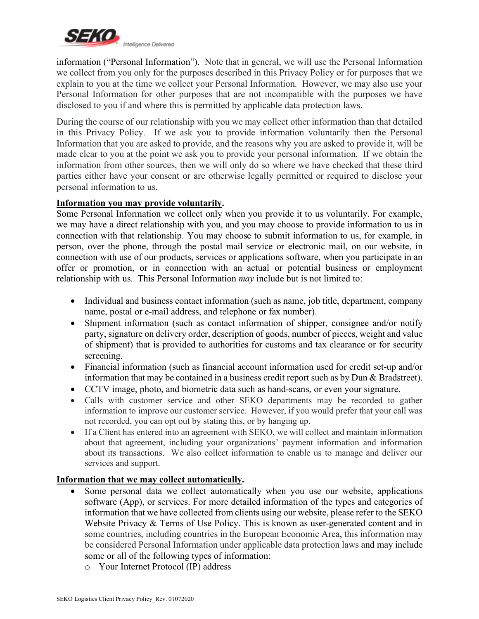

information ("Personal Information"). Note that in general, we will use the Personal Information we collect from you only for the purposes described in this Privacy Policy or for purposes that we explain to you at the time we collect your Personal Information. However, we may also use your Personal Information for other purposes that are not incompatible with the purposes we have disclosed to you if and where this is permitted by applicable data protection laws.

During the course of our relationship with you we may collect other information than that detailed in this Privacy Policy. If we ask you to provide information voluntarily then the Personal Information that you are asked to provide, and the reasons why you are asked to provide it, will be made clear to you at the point we ask you to provide your personal information. If we obtain the information from other sources, then we will only do so where we have checked that these third parties either have your consent or are otherwise legally permitted or required to disclose your personal information to us.

## **Information you may provide voluntarily.**

Some Personal Information we collect only when you provide it to us voluntarily. For example, we may have a direct relationship with you, and you may choose to provide information to us in connection with that relationship. You may choose to submit information to us, for example, in person, over the phone, through the postal mail service or electronic mail, on our website, in connection with use of our products, services or applications software, when you participate in an offer or promotion, or in connection with an actual or potential business or employment relationship with us. This Personal Information *may* include but is not limited to:

- Individual and business contact information (such as name, job title, department, company name, postal or e-mail address, and telephone or fax number).
- Shipment information (such as contact information of shipper, consignee and/or notify party, signature on delivery order, description of goods, number of pieces, weight and value of shipment) that is provided to authorities for customs and tax clearance or for security screening.
- Financial information (such as financial account information used for credit set-up and/or information that may be contained in a business credit report such as by Dun & Bradstreet).
- CCTV image, photo, and biometric data such as hand-scans, or even your signature.
- Calls with customer service and other SEKO departments may be recorded to gather information to improve our customer service. However, if you would prefer that your call was not recorded, you can opt out by stating this, or by hanging up.
- If a Client has entered into an agreement with SEKO, we will collect and maintain information about that agreement, including your organizations' payment information and information about its transactions. We also collect information to enable us to manage and deliver our services and support.

# **Information that we may collect automatically.**

- Some personal data we collect automatically when you use our website, applications software (App), or services. For more detailed information of the types and categories of information that we have collected from clients using our website, please refer to the SEKO Website Privacy & Terms of Use Policy. This is known as user-generated content and in some countries, including countries in the European Economic Area, this information may be considered Personal Information under applicable data protection laws and may include some or all of the following types of information:
	- o Your Internet Protocol (IP) address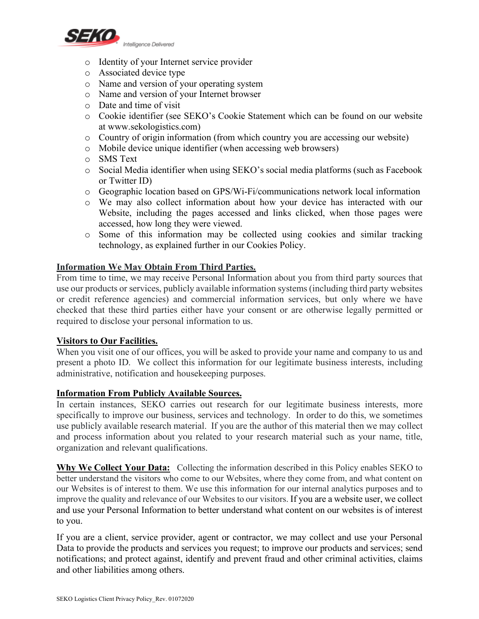

- o Identity of your Internet service provider
- o Associated device type
- o Name and version of your operating system
- o Name and version of your Internet browser
- o Date and time of visit
- o Cookie identifier (see SEKO's Cookie Statement which can be found on our website at www.sekologistics.com)
- o Country of origin information (from which country you are accessing our website)
- o Mobile device unique identifier (when accessing web browsers)
- o SMS Text
- o Social Media identifier when using SEKO's social media platforms (such as Facebook or Twitter ID)
- o Geographic location based on GPS/Wi-Fi/communications network local information
- o We may also collect information about how your device has interacted with our Website, including the pages accessed and links clicked, when those pages were accessed, how long they were viewed.
- o Some of this information may be collected using cookies and similar tracking technology, as explained further in our Cookies Policy.

## **Information We May Obtain From Third Parties.**

From time to time, we may receive Personal Information about you from third party sources that use our products or services, publicly available information systems(including third party websites or credit reference agencies) and commercial information services, but only where we have checked that these third parties either have your consent or are otherwise legally permitted or required to disclose your personal information to us.

### **Visitors to Our Facilities.**

When you visit one of our offices, you will be asked to provide your name and company to us and present a photo ID. We collect this information for our legitimate business interests, including administrative, notification and housekeeping purposes.

### **Information From Publicly Available Sources.**

In certain instances, SEKO carries out research for our legitimate business interests, more specifically to improve our business, services and technology. In order to do this, we sometimes use publicly available research material. If you are the author of this material then we may collect and process information about you related to your research material such as your name, title, organization and relevant qualifications.

**Why We Collect Your Data:** Collecting the information described in this Policy enables SEKO to better understand the visitors who come to our Websites, where they come from, and what content on our Websites is of interest to them. We use this information for our internal analytics purposes and to improve the quality and relevance of our Websites to our visitors. If you are a website user, we collect and use your Personal Information to better understand what content on our websites is of interest to you.

If you are a client, service provider, agent or contractor, we may collect and use your Personal Data to provide the products and services you request; to improve our products and services; send notifications; and protect against, identify and prevent fraud and other criminal activities, claims and other liabilities among others.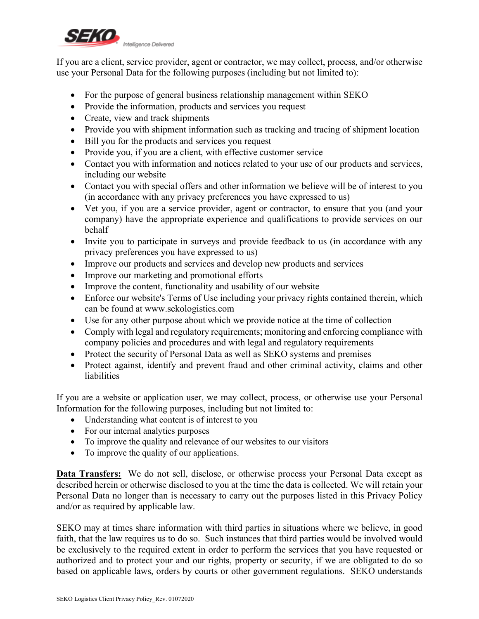

If you are a client, service provider, agent or contractor, we may collect, process, and/or otherwise use your Personal Data for the following purposes (including but not limited to):

- For the purpose of general business relationship management within SEKO
- Provide the information, products and services you request
- Create, view and track shipments
- Provide you with shipment information such as tracking and tracing of shipment location
- Bill you for the products and services you request
- Provide you, if you are a client, with effective customer service
- Contact you with information and notices related to your use of our products and services, including our website
- Contact you with special offers and other information we believe will be of interest to you (in accordance with any privacy preferences you have expressed to us)
- Vet you, if you are a service provider, agent or contractor, to ensure that you (and your company) have the appropriate experience and qualifications to provide services on our behalf
- Invite you to participate in surveys and provide feedback to us (in accordance with any privacy preferences you have expressed to us)
- Improve our products and services and develop new products and services
- Improve our marketing and promotional efforts
- Improve the content, functionality and usability of our website
- Enforce our website's Terms of Use including your privacy rights contained therein, which can be found at www.sekologistics.com
- Use for any other purpose about which we provide notice at the time of collection
- Comply with legal and regulatory requirements; monitoring and enforcing compliance with company policies and procedures and with legal and regulatory requirements
- Protect the security of Personal Data as well as SEKO systems and premises
- Protect against, identify and prevent fraud and other criminal activity, claims and other liabilities

If you are a website or application user, we may collect, process, or otherwise use your Personal Information for the following purposes, including but not limited to:

- Understanding what content is of interest to you
- For our internal analytics purposes
- To improve the quality and relevance of our websites to our visitors
- To improve the quality of our applications.

**Data Transfers:** We do not sell, disclose, or otherwise process your Personal Data except as described herein or otherwise disclosed to you at the time the data is collected. We will retain your Personal Data no longer than is necessary to carry out the purposes listed in this Privacy Policy and/or as required by applicable law.

SEKO may at times share information with third parties in situations where we believe, in good faith, that the law requires us to do so. Such instances that third parties would be involved would be exclusively to the required extent in order to perform the services that you have requested or authorized and to protect your and our rights, property or security, if we are obligated to do so based on applicable laws, orders by courts or other government regulations. SEKO understands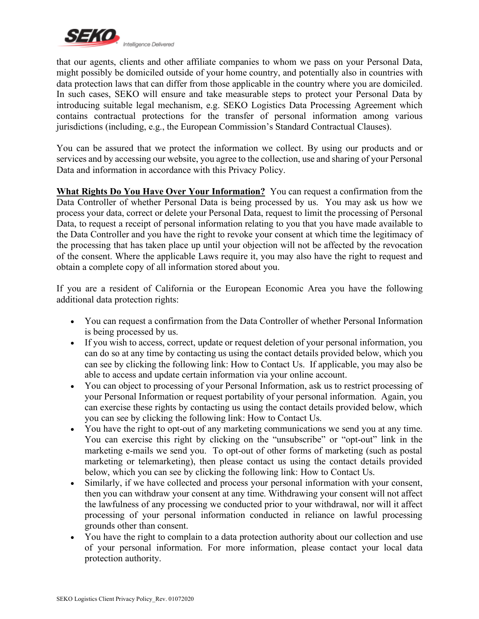

that our agents, clients and other affiliate companies to whom we pass on your Personal Data, might possibly be domiciled outside of your home country, and potentially also in countries with data protection laws that can differ from those applicable in the country where you are domiciled. In such cases, SEKO will ensure and take measurable steps to protect your Personal Data by introducing suitable legal mechanism, e.g. SEKO Logistics Data Processing Agreement which contains contractual protections for the transfer of personal information among various jurisdictions (including, e.g., the European Commission's Standard Contractual Clauses).

You can be assured that we protect the information we collect. By using our products and or services and by accessing our website, you agree to the collection, use and sharing of your Personal Data and information in accordance with this Privacy Policy.

**What Rights Do You Have Over Your Information?** You can request a confirmation from the Data Controller of whether Personal Data is being processed by us. You may ask us how we process your data, correct or delete your Personal Data, request to limit the processing of Personal Data, to request a receipt of personal information relating to you that you have made available to the Data Controller and you have the right to revoke your consent at which time the legitimacy of the processing that has taken place up until your objection will not be affected by the revocation of the consent. Where the applicable Laws require it, you may also have the right to request and obtain a complete copy of all information stored about you.

If you are a resident of California or the European Economic Area you have the following additional data protection rights:

- You can request a confirmation from the Data Controller of whether Personal Information is being processed by us.
- If you wish to access, correct, update or request deletion of your personal information, you can do so at any time by contacting us using the contact details provided below, which you can see by clicking the following link: How to Contact Us. If applicable, you may also be able to access and update certain information via your online account.
- You can object to processing of your Personal Information, ask us to restrict processing of your Personal Information or request portability of your personal information. Again, you can exercise these rights by contacting us using the contact details provided below, which you can see by clicking the following link: How to Contact Us.
- You have the right to opt-out of any marketing communications we send you at any time. You can exercise this right by clicking on the "unsubscribe" or "opt-out" link in the marketing e-mails we send you. To opt-out of other forms of marketing (such as postal marketing or telemarketing), then please contact us using the contact details provided below, which you can see by clicking the following link: How to Contact Us.
- Similarly, if we have collected and process your personal information with your consent, then you can withdraw your consent at any time. Withdrawing your consent will not affect the lawfulness of any processing we conducted prior to your withdrawal, nor will it affect processing of your personal information conducted in reliance on lawful processing grounds other than consent.
- You have the right to complain to a data protection authority about our collection and use of your personal information. For more information, please contact your local data protection authority.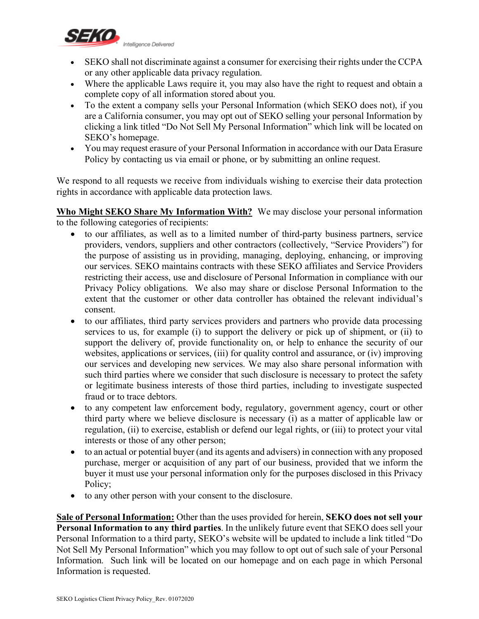

- SEKO shall not discriminate against a consumer for exercising their rights under the CCPA or any other applicable data privacy regulation.
- Where the applicable Laws require it, you may also have the right to request and obtain a complete copy of all information stored about you.
- To the extent a company sells your Personal Information (which SEKO does not), if you are a California consumer, you may opt out of SEKO selling your personal Information by clicking a link titled "Do Not Sell My Personal Information" which link will be located on SEKO's homepage.
- You may request erasure of your Personal Information in accordance with our Data Erasure Policy by contacting us via email or phone, or by submitting an online request.

We respond to all requests we receive from individuals wishing to exercise their data protection rights in accordance with applicable data protection laws.

**Who Might SEKO Share My Information With?** We may disclose your personal information to the following categories of recipients:

- to our affiliates, as well as to a limited number of third-party business partners, service providers, vendors, suppliers and other contractors (collectively, "Service Providers") for the purpose of assisting us in providing, managing, deploying, enhancing, or improving our services. SEKO maintains contracts with these SEKO affiliates and Service Providers restricting their access, use and disclosure of Personal Information in compliance with our Privacy Policy obligations. We also may share or disclose Personal Information to the extent that the customer or other data controller has obtained the relevant individual's consent.
- to our affiliates, third party services providers and partners who provide data processing services to us, for example (i) to support the delivery or pick up of shipment, or (ii) to support the delivery of, provide functionality on, or help to enhance the security of our websites, applications or services, (iii) for quality control and assurance, or (iv) improving our services and developing new services. We may also share personal information with such third parties where we consider that such disclosure is necessary to protect the safety or legitimate business interests of those third parties, including to investigate suspected fraud or to trace debtors.
- to any competent law enforcement body, regulatory, government agency, court or other third party where we believe disclosure is necessary (i) as a matter of applicable law or regulation, (ii) to exercise, establish or defend our legal rights, or (iii) to protect your vital interests or those of any other person;
- to an actual or potential buyer (and its agents and advisers) in connection with any proposed purchase, merger or acquisition of any part of our business, provided that we inform the buyer it must use your personal information only for the purposes disclosed in this Privacy Policy;
- to any other person with your consent to the disclosure.

**Sale of Personal Information:** Other than the uses provided for herein, **SEKO does not sell your Personal Information to any third parties**. In the unlikely future event that SEKO does sell your Personal Information to a third party, SEKO's website will be updated to include a link titled "Do Not Sell My Personal Information" which you may follow to opt out of such sale of your Personal Information. Such link will be located on our homepage and on each page in which Personal Information is requested.